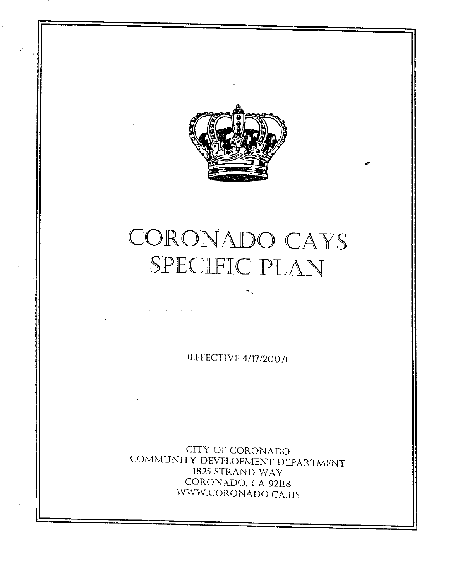

## CORONADO CAYS SPECIFIC PLAN

(EFFECTIVE 4/17/2007)

CITY OF CORONADO COMMUNITY DEVELOPMENT DEPARTMENT 1825 STRAND WAY CORONADO, CA 92118 WWW.CORONADO.CA.US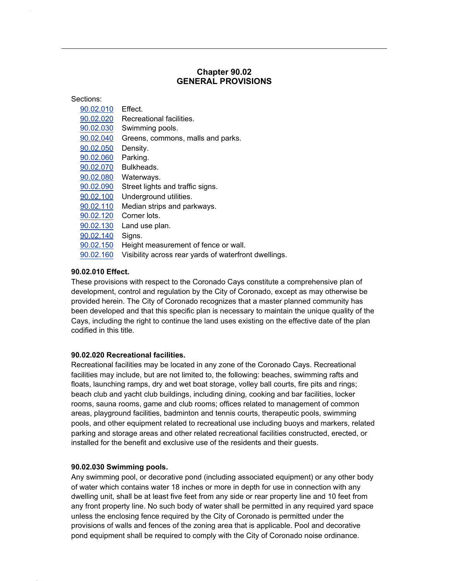### **90.02 GENERAL PROVISIONS**

**Chapter**

| Sections:         |                                                       |  |
|-------------------|-------------------------------------------------------|--|
| <u>90.02.010</u>  | Effect.                                               |  |
| 90.02.020         | Recreational facilities.                              |  |
| 90.02.030         | Swimming pools.                                       |  |
| <u>90.02.040</u>  | Greens, commons, malls and parks.                     |  |
| <u>90.02.050</u>  | Density.                                              |  |
| 90.02.060         | Parking.                                              |  |
| 90.02.070         | Bulkheads.                                            |  |
| 90.02.080         | Waterways.                                            |  |
| 90.02.090         | Street lights and traffic signs.                      |  |
| 90.02.100         | Underground utilities.                                |  |
| 90.02.110         | Median strips and parkways.                           |  |
| 90.02.120         | Corner lots.                                          |  |
| 90.02.130         | Land use plan.                                        |  |
| 90.02.140         | Signs.                                                |  |
| 90.02.150         | Height measurement of fence or wall.                  |  |
| 90.02.160         | Visibility across rear yards of waterfront dwellings. |  |
|                   |                                                       |  |
| 90.02.010 Effect. |                                                       |  |

 provisions with respect to the Coronado Cays constitute <sup>a</sup> comprehensive plan of e**ct.**<br>›ns with respect to the Coronado Cays constitute a comprehensive plan of<br>control and regulation by the City of Coronado, except as may otherwise be These provisions with respect to the Coronado Cays constitute a comprehensive plan of<br>development, control and regulation by the City of Coronado, except as may otherwise be<br>provided herein. The City of Coronado recognizes development, control and regulation by the City of Coronado, except as may otherwise be<br>provided herein. The City of Coronado recognizes that a master planned community has<br>been developed and that this specific plan is nec provided herein. The City of Coronado recognizes that a master planned community has ed herein. The City of Coronado recognizes that a master planned community has<br>leveloped and that this specific plan is necessary to maintain the unique quality of the<br>including the right to continue the land uses existing been developed and tha<br>Cays, including the right<br>codified in this title.

### **Recrimed in this title.**<br>90.02.020 Recreational facilities.

**creational facilities.**<br>facilities may be located in any zone of the Coronado Cays. Recreational **0 Recreational facilities.**<br>onal facilities may be located in any zone of the Coronado Cays. Recreational<br>may include, but are not limited to, the following: beaches, swimming rafts and Recre ational facilities may be located in any zone of the Coronado Cays. Recreational<br>is may include, but are not limited to, the following: beaches, swimming rafts and<br>launching ramps, dry and wet boat storage, volley ball cou facilities may include, but are not limited to, the following: beaches, swimming rafts and<br>floats, launching ramps, dry and wet boat storage, volley ball courts, fire pits and rings;<br>beach club and vacht club buildings, in floats, launching ramps, dry and wet boat storage, volley ball courts, fire pits and rings; aunching ramps, dry and wet boat storage, volley ball courts, fire pits and rings;<br>:lub and yacht club buildings, including dining, cooking and bar facilities, locker<br>sauna rooms, game and club rooms: offices related to ma beach club and yacht club buildings, including dining, cooking and bar facilities, locker<br>rooms, sauna rooms, game and club rooms; offices related to management of common<br>areas, playground facilities, badminton and tennis rooms, sauna rooms, game and club rooms; offices related to management of common sauna rooms, game and club rooms; offices related to management of common<br>playground facilities, badminton and tennis courts, therapeutic pools, swimming<br>and other equipment related to recreational use including buoys and areas, p layground facilities, badminton and tennis courts, therapeutic pools, swimming<br>nd other equipment related to recreational use including buoys and markers, related<br>and storage areas and other related recreational facilities pools, and other equipment related to recreational use including buoys and mar<br>parking and storage areas and other related recreational facilities constructed, e<br>installed for the benefit and exclusive use of the residents

## **Suica for the benefit and exerce**<br>90.02.030 Swimming pools.

2.030 Swimming pools.<br>swimming pool, or decorative pond (including associated equipment) or any other body **.02.030 Swimming pools.**<br>y swimming pool, or decorative pond (including associated equipment) or any other body<br>water which contains water 18 inches or more in depth for use in connection with any Any swir nming pool, or decorative pond (including associated equipment) or any other body<br>which contains water 18 inches or more in depth for use in connection with any<br>unit, shall be at least five feet from any side or rear prope of w ater which contains water 18 inches or more in depth for use in connection with any<br>Iling unit, shall be at least five feet from any side or rear property line and 10 feet from<br>front property line. No such body of water sh dwellir g unit, shall be at least five feet from any side or rear property line and 10 feet from<br>nt property line. No such body of water shall be permitted in any required yard space<br>the enclosing fence required by the City of Cor any front property line. No such body of water shall be permitted in any required yard space<br>unless the enclosing fence required by the City of Coronado is permitted under the<br>provisions of walls and fences of the zoning a unless the enclosing fence required by the City of Coronado is permitted under the provisions of walls and fences of the zoning area that is applicable. Pool and decorative pond equipment shall be required to comply with the City of Coronado noise ordinance.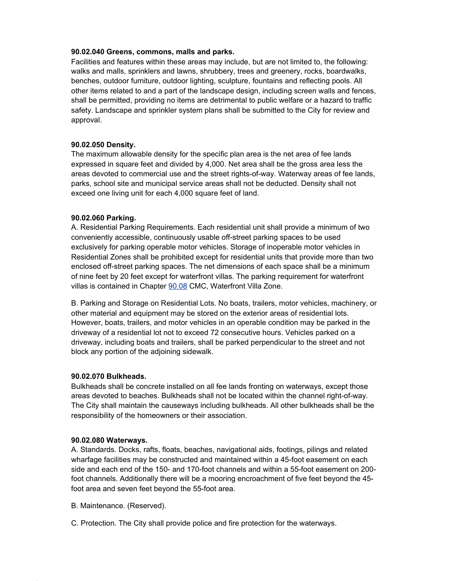## **Greens, commons, malls and parks.** Facilitieswalks

**Greens, commons, malls and parks.**<br>and features within these areas may include, but are not limited to, the following: **90.02.040 Greens, commons, malls and parks.**<br>Facilities and features within these areas may include, but are not limited to, the following:<br>walks and malls, sprinklers and lawns, shrubbery, trees and greenery, rocks, boar and features within these areas may include, but are not limited to, the following:<br>I malls, sprinklers and lawns, shrubbery, trees and greenery, rocks, boardwalks,<br>outdoor furniture, outdoor lighting, sculpture, fountains walks walks and malls, sprinklers and lawns, shrubbery, trees and greenery, rocks, boardwalks,<br>benches, outdoor furniture, outdoor lighting, sculpture, fountains and reflecting pools. All<br>other items related to and a part of the hes, outdoor furniture, outdoor lighting, sculpture, fountains and reflecting pools. All<br>items related to and a part of the landscape design, including screen walls and fences,<br>be permitted, providing no items are detrimen other items related to and a part of the landscape design, including screen walls and fences,<br>shall be permitted, providing no items are detrimental to public welfare or a hazard to traffic<br>safety. Landscape and sprinkler shall be permitted, providing no items are detrimental to public welfare or a hazard to traffic approval.

## approval.<br>90.02.050 Density.

2.050 Density.<br>maximum allowable density for the specific plan area is the net area of fee lands **Density.**<br>um allowable density for the specific plan area is the net area of fee lands<br>in square feet and divided by 4,000. Net area shall be the gross area less the The n The maximum allowable density for the specific plan area is the net area of fee lands<br>expressed in square feet and divided by 4,000. Net area shall be the gross area less the<br>areas devoted to commercial use and the street sed in square feet and divided by 4,000. Net area shall be the gross area less the<br>devoted to commercial use and the street rights-of-way. Waterway areas of fee lands<br>school site and municipal service areas shall not be de areas devoted to commercial use and the street rights-of-way<br>parks, school site and municipal service areas shall not be de<br>exceed one living unit for each 4,000 square feet of land.

## execce one aving and to<br>**90.02.060 Parking.**

.<br>20.060 Parking.<br>Residential Parking Requirements. Each residential unit shall provide a minimum of two **ırking.**<br>ıl Parking Requirements. Each residential unit shall provide a minimum of two<br>accessible, continuously usable off-street parking spaces to be used A. Residen ial Parking Requirements. Each residential unit shall provide a minimum of two<br>y accessible, continuously usable off-street parking spaces to be used<br>for parking operable motor vehicles. Storage of inoperable motor vehicle convenient y accessible, continuously usable off-street parking spaces to be used<br>for parking operable motor vehicles. Storage of inoperable motor vehicles in<br>Zones shall be prohibited except for residential units that provide more t exclusively for parking operable motor vehicles. Storage of inoperable motor vehicles in<br>Residential Zones shall be prohibited except for residential units that provide more than two<br>enclosed off-street parking spaces. The Residential Zones shall be prohibited except for residential units that provide more than two isidential Zones shall be prohibited except for residential units that provide more than two<br>closed off-street parking spaces. The net dimensions of each space shall be a minimum<br>nine feet by 20 feet except for waterfront enclosed off-street parking spaces. The net dimensions of each spac<br>of nine feet by 20 feet except for waterfront villas. The parking require<br>villas is contained in Chapter 90.08 CMC. Waterfront Villa Zone. as is contained in Chapter <u>90.08</u> CMC, Waterfront Villa Zone.<br>Parking and Storage on Residential Lots. No boats, trailers, motor vehicles, machinery, or

material and Storage on Residential Lots. No boats, trailers, motor vehicles, machinery<br>The exterior and equipment may be stored on the exterior areas of residential lots. and Storage on Residential Lots. No boats, trailers, motor vehicles, machinery, or<br>prial and equipment may be stored on the exterior areas of residential lots.<br>boats, trailers, and motor vehicles in an operable condition m other material and equipment may be stored on the exterior areas of residential lots. erial and equipment may be stored on the exterior areas of residential lots.<br>boats, trailers, and motor vehicles in an operable condition may be parked in the<br>of a residential lot not to exceed 72 consecutive hours. Vehicl However, boats, trailers, and motor vehicles in an operable condition may be parked in the<br>driveway of a residential lot not to exceed 72 consecutive hours. Vehicles parked on a<br>driveway, including boats and trailers, shal driveway of a residential lot not to exceed 72 consecutive hours. Vehicles parked on a driveway, including boats and trailers, shall be parked perpendicular to the street and not block any portion of the adjoining sidewalk.

## block any portion of the da<sub>j</sub>.<br>90.02.070 Bulkheads.

**Bulkheads.**<br>shall be concrete installed on all fee lands fronting on waterways, except those **90.02.070 Bulkheads.**<br>Bulkheads shall be concrete installed on all fee lands fronting on waterways, except those<br>areas devoted to beaches. Bulkheads shall not be located within the channel right-of-way. heads shall be concrete installed on all fee lands fronting on waterways, except those<br>s devoted to beaches. Bulkheads shall not be located within the channel right-of-way.<br>City shall maintain the causeways including bulkh areas devoted to beaches. Bulkheads shall not be located<br>The City shall maintain the causeways including bulkhead<br>responsibility of the homeowners or their association.

## **Waterways.**<br>190.02.080 Waterways.

.<br>2.02.080 Waterways.<br>Standards. Docks, rafts, floats, beaches, navigational aids, footings, pilings and related **Waterways.**<br>rds. Docks, rafts, floats, beaches, navigational aids, footings, pilings and related<br>facilities may be constructed and maintained within a 45-foot easement on each A. Standards. Docks, rafts, floats, beaches, navigational aids, footings, pilings and related<br>wharfage facilities may be constructed and maintained within a 45-foot easement on each<br>side and each end of the 150- and 170-fo wharfage facilities may be constructed and maintained within a 45-foot easement on each<br>side and each end of the 150- and 170-foot channels and within a 55-foot easement on 200-<br>foot channels. Additionally there will be a side and each end of the 150- and 170-foot channels and within a 55-foot easement on 200foot channels. Additionally there will be a mooring encroachment of five feet beyond the 45foot area and seven feet beyond the 55-foot area.<br>B. Maintenance. (Reserved).

C. Protection. The City shall provide police and fire protection for the waterways.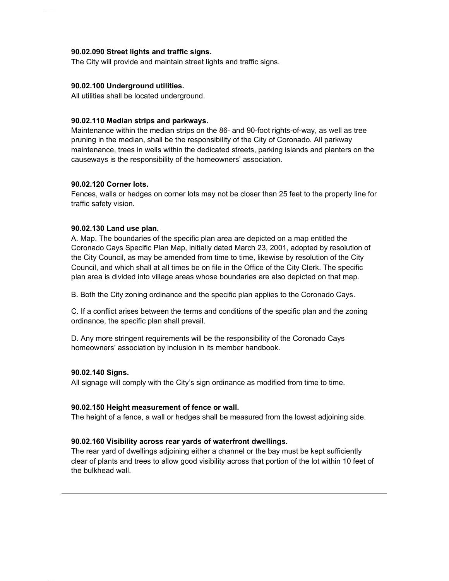### **90.02.090 Street lights and traffic signs.**

The City will provide and maintain street lights and traffic signs.

### **90.02.100 Underground utilities.**

All utilities shall be located underground.

### **Mediance onder be recalled and parkways.**<br>90.02.110 Median strips and parkways.

dian strips and parkways.<br>within the median strips on the 86- and 90-foot rights-of-way, as well as tree I**0 Median strips and parkways.**<br>ance within the median strips on the 86- and 90-foot rights-of-way, as well as tree<br>in the median, shall be the responsibility of the City of Coronado. All parkway Maintenance within the median strips on the 86- and 90-foot rights-of-way, as well as tree<br>pruning in the median, shall be the responsibility of the City of Coronado. All parkway<br>maintenance, trees in wells within the dedi pruning in the median, shall be the responsibility of the City of Coron<br>maintenance, trees in wells within the dedicated streets, parking islar<br>causeways is the responsibility of the homeowners' association.

### **Construction Corporation**<br>90.02.120 Corner lots.

**0 Corner lots.**<br>walls or hedges on corner lots may not be closer than 25 feet to the property line for **90.02.120 Corner lots.**<br>Fences, walls or hedges<br>traffic safety vision.

## aano salety vision.<br>90.02.130 Land use plan.

**02.130 Land use plan.**<br>Map. The boundaries of the specific plan area are depicted on a map entitled the **Land use plan.**<br>he boundaries of the specific plan area are depicted on a map entitled the<br>Cays Specific Plan Map, initially dated March 23, 2001, adopted by resolution of A. I lap. The boundaries of the specific plan area are depicted on a map entitled the<br>onado Cays Specific Plan Map, initially dated March 23, 2001, adopted by resolution of<br>City Council, as may be amended from time to time, lik Coronac o Cays Specific Plan Map, initially dated March 23, 2001, adopted by resolution of<br>Council, as may be amended from time to time, likewise by resolution of the City<br>and which shall at all times be on file in the Office of t the City Council, as may be amended from time to time, likewise by resolution of the City<br>Council, and which shall at all times be on file in the Office of the City Clerk. The specific<br>plan area is divided into village are plan area is divided into village areas whose boundaries are also depicted on that map.

B. Both the City zoning ordinance and the specific plan applies to the Coronado Cays.

C. If a conflict arises between the terms and conditions of the specific plan and the zoning ordinance, the specific plan shall prevail. linance, the specific plan shall prevail.<br>Any more stringent requirements will be the responsibility of the Coronado Cays

D. Any more stringent requirements will be the responsibility of the Q<br>homeowners' association by inclusion in its member handbook. homeowners' association by inclusion in its member handbook.<br>90.02.140 Signs.

All signage will comply with the City's sign ordinance as modified from time to time.

### **90.02.150 Height measurement of fence or wall.**

The height of a fence, a wall or hedges shall be measured from the lowest adjoining side.

## **Visibility across rear yards of waterfront dwellings.** Theclear

2.160 Visibility across rear yards of waterfront dwellings.<br>rear vard of dwellings adjoining either a channel or the bay must be kept sufficiently .**160 Visibility across rear yards of waterfront dwellings.**<br>ear yard of dwellings adjoining either a channel or the bay must be kept sufficiently<br>of plants and trees to allow good visibility across that portion of the lot The rear yard of dwellii<br>clear of plants and tree<br>the bulkhead wall.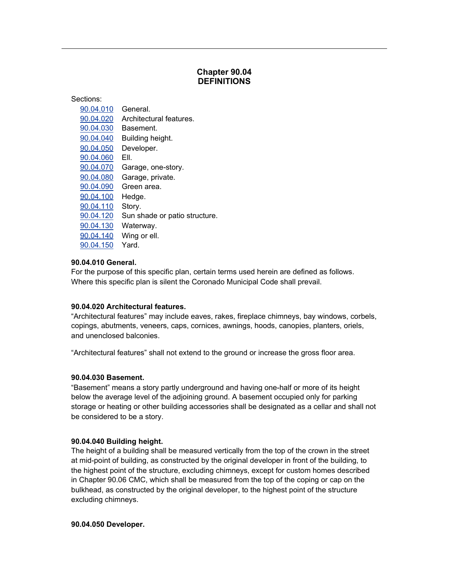### **90.04 DEFINITIONS**

**Chapter**

| Sections: |                               |
|-----------|-------------------------------|
| 90.04.010 | General.                      |
| 90.04.020 | Architectural features.       |
| 90.04.030 | Basement.                     |
| 90.04.040 | Building height.              |
| 90.04.050 | Developer.                    |
| 90.04.060 | EII.                          |
| 90.04.070 | Garage, one-story.            |
| 90.04.080 | Garage, private.              |
| 90.04.090 | Green area.                   |
| 90.04.100 | Hedge.                        |
| 90.04.110 | Story.                        |
| 90.04.120 | Sun shade or patio structure. |
| 90.04.130 | Waterway.                     |
| 90.04.140 | Wing or ell.                  |
| 90.04.150 | Yard.                         |

### 90.04.010 General.

For the purpose of this specific plan, certain terms used herein are defined as follows. Where this specific plan is silent the Coronado Municipal Code shall prevail.

### **90.04.020 Architectural features.**

**90.04.020 Architectural features.**<br>"Architectural features" may include eaves, rakes, fireplace chimneys, bay windows, corbels, **90.04.020 Architectural features.**<br>"Architectural features" may include eaves, rakes, fireplace chimneys, bay windows, corbels,<br>copings, abutments, veneers, caps, cornices, awnings, hoods, canopies, planters, oriels, copings, abutments, veneers, caps, cornices, awnings, hoods, canopies, planters, oriels, and unenclosed balconies.

featuresî shall not extend to the ground or increase the gross floor area. **90.04.030**

## **Basement.**<br>190.04.030 Basement.

**asement.**<br>means a story partly underground and having one-half or more of its height **030 Basement.**<br>nent" means a story partly underground and having one-half or more of its height<br>the average level of the adioining ground. A basement occupied only for parking "Basement" means a story partly underground and having one-half or more of its height<br>below the average level of the adjoining ground. A basement occupied only for parking<br>storage or heating or other building accessories s below the average level of the adjoining ground. A basement occupied only for parking storage or heating or other building accessories shall be designated as a cellar and shall not be considered to be a story.

### **Building** height.<br>**90.04.040 Building height.**

**4.040 Building height.**<br>height of a building shall be measured vertically from the top of the crown in the street **.04.040 Building height.**<br>e height of a building shall be measured vertically from the top of the crown in the street<br>mid-point of building, as constructed by the original developer in front of the building, to The height of a building shall be measured vertically from the top of the crown in the street<br>at mid-point of building, as constructed by the original developer in front of the building, to<br>the highest point of the structu at mid-point of building, as constructed by the original developer in front of the building, to mid-point of building, as constructed by the original developer in front of the building, to<br>e highest point of the structure, excluding chimneys, except for custom homes described<br>Chapter 90.06 CMC, which shall be measure the highes t point of the structure, excluding chimneys, except for custom homes described<br>90.06 CMC, which shall be measured from the top of the coping or cap on the<br>as constructed by the original developer, to the highest point of in Chapter 90.06 CMC, w<br>bulkhead, as constructed<br>excluding chimneys. excluding chimneys.<br>**90.04.050 Developer.**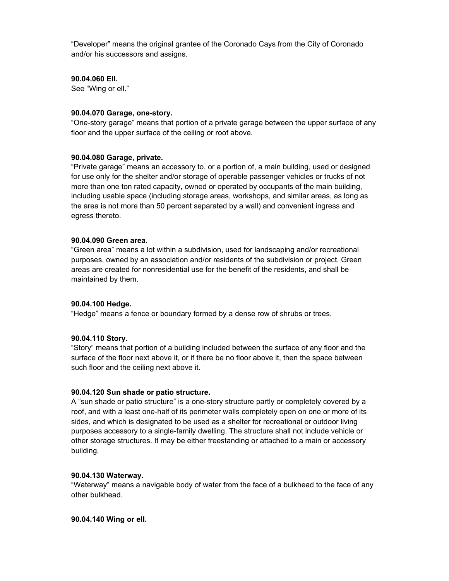means the original grantee of the Coronado Cays from the City of Coronado "Developer" means the original grantee<br>and/or his successors and assigns. and/or his successors and assigns.<br>90.04.060 EII.

See "Wing or ell."

## **gee wing or eii.**<br>90.04.070 Garage, one-story.

"One-story garage" means that portion of a private garage between the upper surface of any floor and the upper surface of the ceiling or roof above.

## **Garage, private.**<br>90.04.080 Garage, private.

**garage, private.**<br>garage" means an accessory to, or a portion of, a main building, used or designed **04.080 Garage, private.**<br>ivate garage" means an accessory to, or a portion of, a main building, used or designed<br>use only for the shelter and/or storage of operable passenger vehicles or trucks of not "Priva te garage" means an accessory to, or a portion of, a main building, used or designed<br>e only for the shelter and/or storage of operable passenger vehicles or trucks of not<br>than one ton rated capacity, owned or operated by o for use only for the shelter and/or storage of operable passenger vehicles or trucks of not<br>more than one ton rated capacity, owned or operated by occupants of the main building,<br>including usable space (including storage a more than one ton rated capacity, owned or operated by occupants of the main building, e than one ton rated capacity, owned or operated by occupants of the main building,<br>uding usable space (including storage areas, workshops, and similar areas, as long as<br>area is not more than 50 percent separated by a wall includi the area is not more than 50 percent separated by a wall) and convenient ingress and egress thereto.

## egress arerete.<br>90.04.090 Green area.

**90 Green area.**<br>area" means a lot within a subdivision, used for landscaping and/or recreational **Green area.**<br>:a" means a lot within a subdivision, used for landscaping and/or recreational<br>owned by an association and/or residents of the subdivision or project. Green "Green area" means a lot within a subdivision, used for landscaping and/or recreational<br>purposes, owned by an association and/or residents of the subdivision or project. Green<br>areas are created for nonresidential use for t purposes, owned by an a<br>areas are created for nor<br>maintained by them. maintained by them.<br>**90.04.100 Hedge.** 

means <sup>a</sup> fence or boundary formed by <sup>a</sup> dense row of shrubs or trees. **90.04.110**

### **Story.**<br>90.04.110 Story.

**10 Story.**<br>means that portion of a building included between the surface of any floor and the **10 Story.**<br>neans that portion of a building included between the surface of any floor and the<br>of the floor next above it, or if there be no floor above it, then the space between "Stor surface of the floor next above it, or if there be no floor above it, then the space between such floor and the ceiling next above it.

### **Sun shade orpatio structure.** <sup>A</sup>roof,

**.04.120 Sun shade or patio structure.**<br>"sun shade or patio structure" is a one-story structure partly or completely covered by a **l.120 Sun shade or patio structure.**<br>n shade or patio structure" is a one-story structure partly or completely covered by a<br>and with a least one-half of its perimeter walls completely open on one or more of its A "sur shade or patio structure" is a one-story structure partly or completely covered by a<br>nd with a least one-half of its perimeter walls completely open on one or more of its<br>and which is designated to be used as a shelter for roof, and with a least one-half of its perimeter walls completely open on one or more of its<br>sides, and which is designated to be used as a shelter for recreational or outdoor living<br>purposes accessory to a single-family d sides, and which is designated to be used as a shelter for recreational or outdoor living and which is designated to be used as a shelter for recreational or outdoor living<br>ses accessory to a single-family dwelling. The structure shall not include vehicle or<br>storage structures. It may be either freestanding or purpose: building.

ballanig.<br>**90.04.130 Waterway.**<br>"Waterway" means a navig<br>other bulkhead. "Waterway" means a navigable body of water from the face of a bulkhead to the face of any other bulkhead.<br>**90.04.140 Wing or ell.**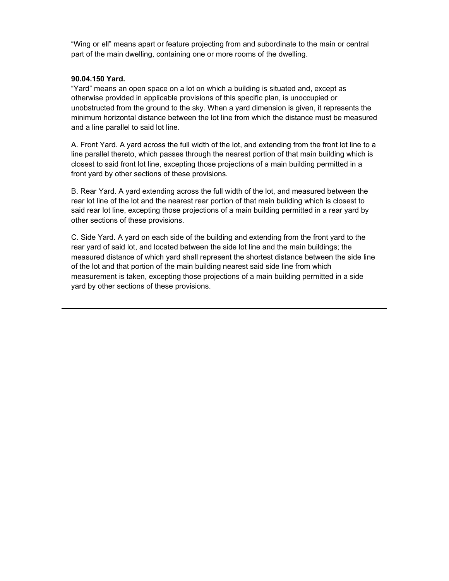or ellî means apart or feature projecting from and subordinate to the main or central "Wing or ell" means apart or feature projecting from and subordinate to the n<br>part of the main dwelling, containing one or more rooms of the dwelling.

## **yarder the main awe.**<br>90.04.150 Yard.

**150 Yard.**<br>means an open space on a lot on which a building is situated and, except as **Yard.**<br>ans an open space on a lot on which a building is situated and, except as<br>provided in applicable provisions of this specific plan, is unoccupied or "Yard" means an open space on a lot on which a building is situated and, except as<br>vided in applicable provisions of this specific plan, is unoccupied or<br>from the ground to the sky. When a vard dimension is given, it represents the otherwise provided in applicable provisions of this specific plan, is unoccupied or provided in applicable provisions of this specific plan, is unoccupied or<br>ted from the ground to the sky. When a yard dimension is given, it represents the<br>horizontal distance between the lot line from which the distance m unobstructed from the ground to the s<br>minimum horizontal distance betweer<br>and a line parallel to said lot line. d a line parallel to said lot line.<br>Front Yard. A vard across the full width of the lot. and extending from the front lot line to a

parallel thereto, which across the full width of the lot, and extending from the front lot line to a<br>Thereto, which passes through the nearest portion of that main building which is A. Front Yard. A yard across the full width of the lot, and extending from the front lot line to a<br>line parallel thereto, which passes through the nearest portion of that main building which is<br>closest to said front lot li line parallel thereto, which passes through the neare<br>closest to said front lot line, excepting those projection<br>front vard by other sections of these provisions. nt yard by other sections of these provisions.<br>Rear Yard. A vard extending across the full width of the lot, and measured between the

)<br>ear Yard. A yard extending across the full width of the lot, and measured between the<br>lot line of the lot and the nearest rear portion of that main building which is closest to B.R ear Yard. A yard extending across the full width of the lot, and measured between the<br>lot line of the lot and the nearest rear portion of that main building which is closest to<br>rear lot line, excepting those projections of rear lot line of the lot and the nearest re<br>said rear lot line, excepting those proje<br>other sections of these provisions. Side Yard. A vard on each side of the building and extending from the front vard to the<br>Side Yard. A vard on each side of the building and extending from the front vard to the

ide Yard. A yard on each side of the building and extending from the front yard to the<br>vard of said lot, and located between the side lot line and the main buildings; the C. Side Yard. A yard on each side of the building and extending from the front yard to the<br>rear yard of said lot, and located between the side lot line and the main buildings; the<br>measured distance of which vard shall repr rear yard of said lot, and located between the side lot line and the main buildings; the<br>measured distance of which yard shall represent the shortest distance between the side<br>of the lot and that portion of the main buildi measured distance of which yard shall represent the shortest distance between the side line<br>of the lot and that portion of the main building nearest said side line from which<br>measurement is taken, excepting those projectio of the lot and that portion of the main build<br>measurement is taken, excepting those pro<br>vard by other sections of these provisions.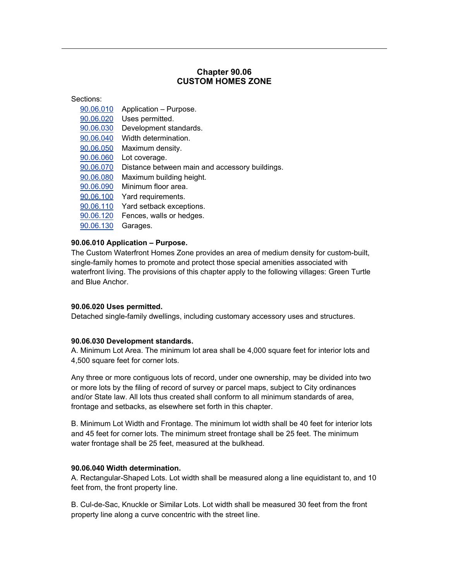### **90.06 CUSTOM HOMES ZONE**

**Chapter**

| Sections: |                                                |
|-----------|------------------------------------------------|
| 90.06.010 | Application - Purpose.                         |
| 90.06.020 | Uses permitted.                                |
| 90.06.030 | Development standards.                         |
| 90.06.040 | Width determination.                           |
| 90.06.050 | Maximum density.                               |
| 90.06.060 | Lot coverage.                                  |
| 90.06.070 | Distance between main and accessory buildings. |
| 90.06.080 | Maximum building height.                       |
| 90.06.090 | Minimum floor area.                            |
| 90.06.100 | Yard requirements.                             |
| 90.06.110 | Yard setback exceptions.                       |
| 90.06.120 | Fences, walls or hedges.                       |
| 90.06.130 | Garages.                                       |

### **90.06.010 Application - Purpose.**

 Custom Waterfront Homes Zone provides an area of medium density for custom-built, singlefamily**pplication – Purpose.**<br>Waterfront Homes Zone provides an area of medium density for custom-built,<br>homes to promote and protect those special amenities associated with The Custom Waterfront Homes Zone provides an area of medium density for custom-built,<br>single-family homes to promote and protect those special amenities associated with<br>waterfront living. The provisions of this chapter app single-family homes to<br>waterfront living. The<br>and Blue Anchor. and Blue Anchor.<br>**90.06.020 Uses permitted.** 

Detached single-family dwellings, including customary accessory uses and structures.

### **Development standards.** A.4,500

**.06.030 Development standards.**<br>Minimum Lot Area. The minimum lot area shall be 4.000 square feet for interior lots and **90.06.030 Development standards.**<br>A. Minimum Lot Area. The minimum I<br>4.500 square feet for corner lots. 0 square feet for corner lots.<br>three or more contiguous lots of record, under one ownership, may be divided into two

.<br>y three or more contiguous lots of record, under one ownership, may be divided into two<br>more lots by the filing of record of survey or parcel maps, subiect to City ordinances Any three or more contiguous lots of record, under one ownership, may be divided into two<br>or more lots by the filing of record of survey or parcel maps, subject to City ordinances<br>and/or State law. All lots thus created sh or more lots by the filing of record of survey or parcel maps, subje<br>and/or State law. All lots thus created shall conform to all minimur<br>frontage and setbacks, as elsewhere set forth in this chapter. ntage and setbacks, as elsewhere set forth in this chapter.<br>Minimum Lot Width and Frontage. The minimum lot width shall be 40 feet for interior lots

 <sup>45</sup> feet for corner lots. The minimum street frontage shall be <sup>25</sup> feet. The minimum B. Mir and 45 feet for corner lots. The minimum street frontage shall be 25 feet. The minimum water frontage shall be 25 feet, measured at the bulkhead.

## watch hontage onal be 20 feet, meast<br>90.06.040 Width determination.

onthology of the Consettangular-Shaped Consetted Angles.<br>Rectangular-Shaped Lots. Lot width shall be measured along a line equidistant to, and 10 **90.06.040 Width determination.**<br>A. Rectangular-Shaped Lots. Lot wid<br>feet from. the front property line. of from, the front property line.<br>Cul-de-Sac, Knuckle or Similar Lots. Lot width shall be measured 30 feet from the front

line along a curve concentriction.<br>Incentriction a curve concentric with the street line.<br>Ince along a curve concentric with the street line.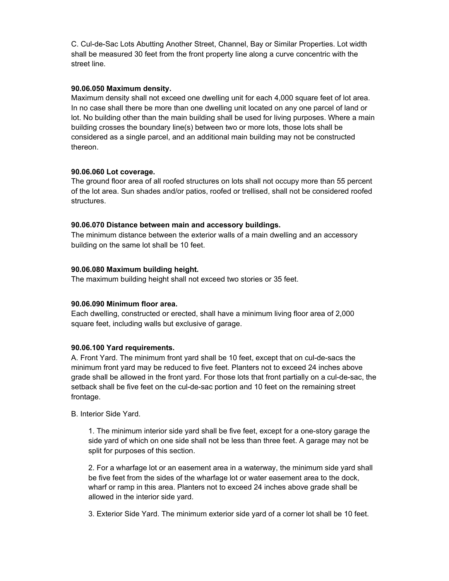Cul-de-Sac Lots Abutting Another Street, Channel, Bay orSimilar Properties. Lot width ll-de-Sac Lots Abutting Another Street, Channel, Bay or Similar Properties. Lot width<br>be measured 30 feet from the front property line along a curve concentric with the C. Cu shall be measured 30 feet from the front property line along a curve concentric with the street line.

## <sub>oa oot mio.<br>90.06.050 Maximum density.</sub>

Maximum density.<br>density shall not exceed one dwelling unit for each 4,000 square feet of lot area. **.06.050 Maximum density.**<br>aximum density shall not exceed one dwelling unit for each 4,000 square feet of lot area.<br>no case shall there be more than one dwelling unit located on any one parcel of land or Ma kimum density shall not exceed one dwelling unit for each 4,000 square feet of lot area.<br>o case shall there be more than one dwelling unit located on any one parcel of land or<br>No building other than the main building shall In no ca se shall there be more than one dwelling unit located on any one parcel of land or<br>uilding other than the main building shall be used for living purposes. Where a mair<br>crosses the boundary line(s) between two or more lots, lot. No building other than the main building shall be used for living purposes. Where a main<br>building crosses the boundary line(s) between two or more lots, those lots shall be<br>considered as a single parcel, and an additi building crosses the boundary line(s) between two or more lots, those lots shall be **90.06.060**

## alcreon.<br>90.06.060 Lot coverage.

**6.060 Lot coverage.**<br>ground floor area of all roofed structures on lots shall not occupy more than 55 percent **.06.060 Lot coverage.**<br>e ground floor area of all roofed structures on lots shall not occupy more than 55 percent<br>the lot area. Sun shades and/or patios, roofed or trellised, shall not be considered roofed The groun structures.

**90.06.070 Distance between main and accessory buildings.**<br>The minimum distance between the exterior walls of a main dwelling<br>building on the same lot shall be 10 feet. The minimum distance between the exterior walls of a main dwelling and an accessory building on the same lot shall be 10 feet.<br>**90.06.080 Maximum building height.** 

The maximum building height shall not exceed two stories or 35 feet.

### **90.06.090 Minimum floor area.**

onto Minimum floor area.<br>dwelling, constructed or erected, shall have a minimum living floor area of 2,000. **90.06.090 Minimum floor area.**<br>Each dwelling, constructed or erected, shall have a minii<br>square feet, including walls but exclusive of garage.

## **Yard requirements.** A.minimum

90.06.100 Yard requirements.<br>A. Front Yard. The minimum front yard shall be 10 feet, except that on cul-de-sacs the l **Yard requirements.**<br>′ard. The minimum front yard shall be 10 feet, except that on cul-de-sacs the<br>front vard may be reduced to five feet. Planters not to exceed 24 inches above nt Yard. The minimum front yard shall be 10 feet, except that on cul-de-sacs the<br>um front yard may be reduced to five feet. Planters not to exceed 24 inches above<br>shall be allowed in the front vard. For those lots that fro minimum front yard may be reduced to five feet. Planters not to exceed 24 inches above<br>grade shall be allowed in the front yard. For those lots that front partially on a cul-de-sac, th<br>setback shall be five feet on the cul grade shall be allowed in the front yard. For those lots that front partially on a cul-de-sac, the setback shall be five feet on the cul-de-sac portion and 10 feet on the remaining street frontage.

### B. Interior Side Yard.

or Side Yard.<br>The minimum interior side vard shall be five feet, except for a one-story garage the ie minimum interior side yard shall be five feet, except for a one-story garage the<br>vard of which on one side shall not be less than three feet. A garage may not be 1. The minimum interior side yard sha<br>side yard of which on one side shall r<br>split for purposes of this section. Iit for purposes of this section.<br>For a wharfage lot or an easement area in a waterway, the minimum side yard shall be

five from the sides.<br>The five feet from the sides of the wharfage lot or water way, the minimum side yard shall<br>the five feet from the sides of the wharfage lot or water easement area to the dock. a wharfage lot or an easement area in a waterway, the minimum side yard shall<br>bet from the sides of the wharfage lot or water easement area to the dock,<br>or ramp in this area. Planters not to exceed 24 inches above grade sh be five feet from the sides of the wha<br>wharf or ramp in this area. Planters r<br>allowed in the interior side vard. wharf or ramp in this area. Planters not to exceed 24 inches above grade shall be allowed in the interior side yard.<br>3. Exterior Side Yard. The minimum exterior side yard of a corner lot shall be 10 feet.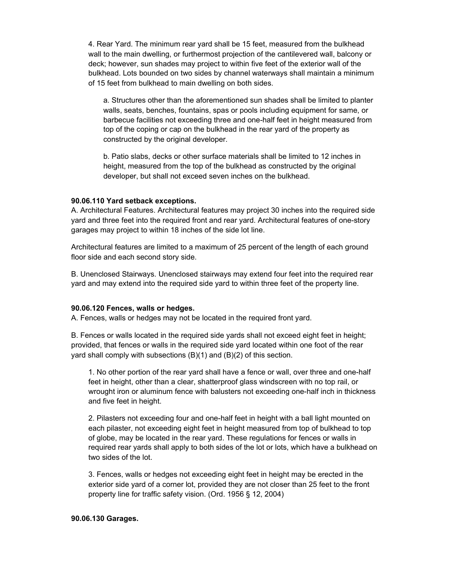Rear Yard. The minimum rear yard shall be <sup>15</sup> feet, measured from the bulkhead ear Yard. The minimum rear yard shall be 15 feet, measured from the bulkhead<br>to the main dwelling, or furthermost projection of the cantilevered wall, balcony or 4. Re ar Yard. The minimum rear yard shall be 15 feet, measured from the bulkhead<br>o the main dwelling, or furthermost projection of the cantilevered wall, balcony or<br>however, sun shades may project to within five feet of the ext wall to the main dwelling, or furthermost projection of the cantilevered wall, balcony or<br>deck; however, sun shades may project to within five feet of the exterior wall of the<br>bulkhead. Lots bounded on two sides by channel deck; however, sun shades may project to within five feet of<br>bulkhead. Lots bounded on two sides by channel waterways<br>of 15 feet from bulkhead to main dwelling on both sides. eet from bulkhead to main dwelling on both sides.<br>Structures other than the aforementioned sun shades shall be limited to planter

seats, other than the aforementioned sun shades shall be limited to planter<br>seats, benches, fountains, spas or pools including equipment for same, or a. Structures other than the aforementioned sun shades shall be limited to planter<br>walls, seats, benches, fountains, spas or pools including equipment for same, or<br>barbecue facilities not exceeding three and one-half feet walls, seats, benches, fountains, spas or pools including equipment for same, or s, seats, benches, fountains, spas or pools including equipment for same, or<br>becue facilities not exceeding three and one-half feet in height measured from<br>of the coping or cap on the bulkhead in the rear yard of the prope barbecue fa top of the coping or cap on the bulkhead in the rear yard of the property as constructed by the original developer. nstructed by the original developer.<br>Patio slabs, decks or other surface materials shall be limited to 12 inches in

slabs, decks or other surface materials shall be limited to 12 inches in<br>measured from the top of the bulkhead as constructed by the original b. Patio slabs, decks or other surface materials shall be limited to 1<br>height, measured from the top of the bulkhead as constructed by th<br>developer, but shall not exceed seven inches on the bulkhead.

## **Yard setback exceptions.** A.yard

**.06.110 Yard setback exceptions.**<br>Architectural Features. Architectural features may project 30 inches into the required side **6.110 Yard setback exceptions.**<br>chitectural Features. Architectural features may project 30 inches into the required side<br>and three feet into the required front and rear vard. Architectural features of one-story A. Archit yard and three feet into the required front and rear yard. Architectural features of one-story garages may project to within 18 inches of the side lot line. project to within 18 inches of the side lot line.<br>features are limited to a maximum of 25 percent of the length of each ground floor

 side and each second story side. B.or side and each second story side.<br>Unenclosed Stairways. Unenclosed stairways may extend four feet into the required rear

a.<br>B. Unenclosed Stairways. Unenclosed stairways may extend four feet into the required rear<br>yard and may extend into the required side yard to within three feet of the property line. yard and may extend into the required side yard to within three feet of the property line.<br>**90.06.120 Fences, walls or hedges.** 

**90.06.120 Fences, walls or hedges.**<br>A. Fences, walls or hedges may not be located in the required front yard. Fences, walls or hedges may not be located in the required front yard.<br>Fences or walls located in the required side vards shall not exceed eight feet in height:

that ferces or walls located in the required side yards shall not exceed eight feet in height;<br>that fences or walls in the required side vard located within one foot of the rear B. Fences or walls located in the required side yards shall not exceed ei<br>provided, that fences or walls in the required side yard located within on<br>vard shall comply with subsections (B)(1) and (B)(2) of this section. all comply with subsections (B)(1) and (B)(2) of this section.<br>No other portion of the rear vard shall have a fence or wall, over three and one-half

in the portion of the rear yard shall have a fence or wall, over three and one-half<br>in height, other than a clear, shatterproof glass windscreen with no top rail, or 1. No other portion of the rear yard shall have a fence or wall, over three and one-half<br>feet in height, other than a clear, shatterproof glass windscreen with no top rail, or<br>wrought iron or aluminum fence with balusters feet in height, other than a clear, shatterproof glass windscreen with no top rail, or wrought iron or aluminum fence with balusters not exceeding one-half inch in thickness and five feet in height. d five feet in height.<br>Pilasters not exceeding four and one-half feet in height with a ball light mounted on

phaters not exceeding four and one-half feet in height with a ball light mounted on<br>pilaster, not exceeding eight feet in height measured from top of bulkhead to top 2. Pilasters not exceeding four and one-half feet in height with a ball light mounted on<br>ch pilaster, not exceeding eight feet in height measured from top of bulkhead to top<br>globe, may be located in the rear yard. These regul each pilaster, not exceeding eight feet in height measured from top of bulkhead to top<br>of globe, may be located in the rear yard. These regulations for fences or walls in<br>required rear vards shall apply to both sides of th of globe, may be located in the rear yard. These regulations for fences or walls in required rear yards shall apply to both sides of the lot or lots, which have a bulkhead on two sides of the lot. two sides of the lot.<br>3. Fences, walls or hedges not exceeding eight feet in height may be erected in the

es, walls or hedges not exceeding eight feet in height may be erected in the<br>side vard of a corner lot, provided they are not closer than 25 feet to the front s, walls or hedges not exceeding eight feet in height ma<br>side yard of a corner lot, provided they are not closer tha<br>line for traffic safety vision. (Ord. 1956 § 12, 2004) property line for traffic safety vision. (Ord. 1956 § 12, 2004)

### **Garages.**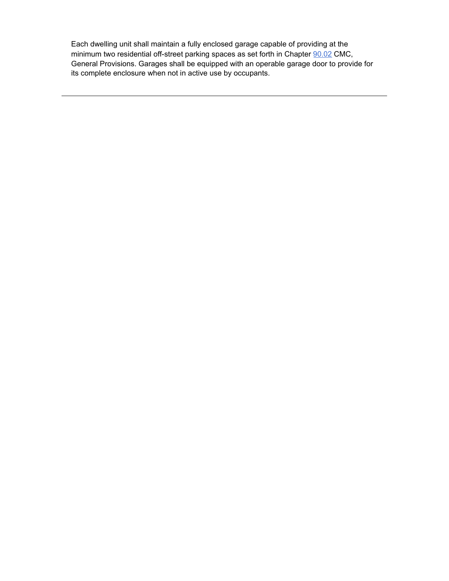dwelling unit shall maintain <sup>a</sup> fully enclosed garage capable of providing at the Each dwelling unit shall maintain a fully enclosed garage capable of providing at the<br>minimum two residential off-street parking spaces as set forth in Chapter 90.02 CMC. elling unit shall maintain a fully enclosed garage capable of providing at the<br>n two residential off-street parking spaces as set forth in Chapter <u>90.02</u> CMC,<br>Provisions. Garages shall be equipped with an operable garage mi General Provisions. Garages shall be equipped with an operable garage door to provide for its complete enclosure when not in active use by occupants.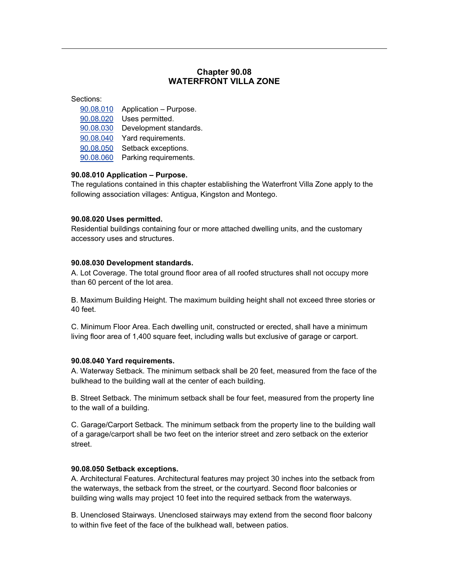### **90.08 VILLA ZONE**<br>**VILLA ZONE**

**Chapter**

| 90.08.010 | Application - Purpose. |
|-----------|------------------------|
| 90.08.020 | Uses permitted.        |
| 90.08.030 | Development standards. |
| 90.08.040 | Yard requirements.     |
| 90.08.050 | Setback exceptions.    |
| 90.08.060 | Parking requirements.  |

 regulations contained in this chapter establishing the Waterfront Villa Zone apply to the **90.08.010 Application – Purpose.**<br>The regulations contained in this chapter establishing the Waterfror<br>following association villages: Antigua, Kingston and Montego.

## **USE BERGE CONSTRUCT**<br>190.08.020 Uses permitted.

**lses permitted.**<br>buildings containing four or more attached dwelling units, and the customary **90.08.020 Uses permitted.**<br>Residential buildings containing foul<br>accessory uses and structures.

## abboosory abovana stractures.<br>90.08.030 Development standards.

**.08.030 Development standards.**<br>Lot Coverage. The total ground floor area of all roofed structures shall not occupy more **90.08.030 Development standard:**<br>A. Lot Coverage. The total ground f<br>than 60 percent of the lot area. on 60 percent of the lot area.<br>Maximum Building Height. The maximum building height shall not exceed three stories or

.<br>B. Maximum<br>40 feet. Minimum Floor Area. Each dwelling unit, constructed or erected, shall have <sup>a</sup> minimum

C. Minimum Floor Area. Each dwelling unit, constructed or erected, shall have a minimum<br>Iiving floor area of 1,400 square feet, including walls but exclusive of garage or carport.

## ward med or 1,400 square recreating<br>**90.08.040 Yard requirements.**

**08.040 Yard requirements.**<br>Waterway Setback. The minimum setback shall be 20 feet, measured from the face of the **90.08.040 Yard requirements.**<br>A. Waterway Setback. The minimum setback shall be 20 feet, n<br>bulkhead to the building wall at the center of each building. khead to the building wall at the center of each building.<br>Street Setback. The minimum setback shall be four feet, measured from the property line

e<br>B. Street Setback. The minir<br>to the wall of a building. the wall of a building.<br>Garage/Carport Setback. The minimum setback from the property line to the building wall

Garage/Carport Setback. The minimum setback from the property line to the building wall<br>a garage/carport shall be two feet on the interior street and zero setback on the exterior C. Gar **90.08.050**

## **Setback exceptions.** A.the

**.08.050 Setback exceptions.**<br>Architectural Features. Architectural features may project 30 inches into the setback from **08.050 Setback exceptions.**<br>vrchitectural Features. Architectural features may project 30 inches into the setback from<br>waterways, the setback from the street, or the courtyard. Second floor balconies or A. Architectural Features. Architectural features may project 30 inches into the setback from<br>the waterways, the setback from the street, or the courtyard. Second floor balconies or<br>building wing walls may project 10 feet the waterways, the setback from the street, or the courtyard. Second floor balconies or building wing walls may project 10 feet into the required setback from the waterways.

B. Unenclosed Stairways. Unenclosed stairways may extend from the second floor balcony to within five feet of the face of the bulkhead wall, between patios.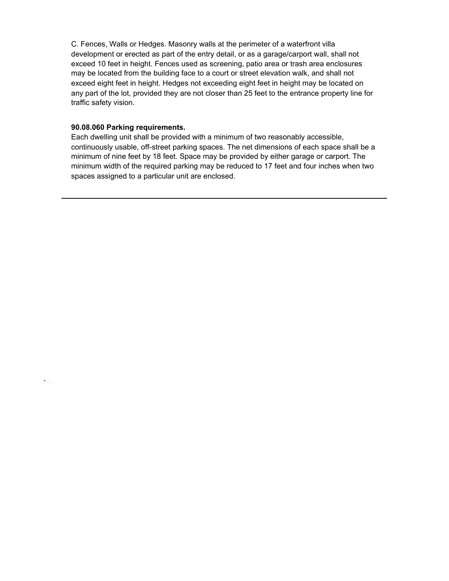Fences, Walls or Hedges. Masonry walls at the perimeter of <sup>a</sup> waterfront villa alls or Hedges. Masonry walls at the perimeter of a waterfront villa<br>or erected as part of the entry detail, or as a garage/carport wall, shall not C. Fend es, Walls or Hedges. Masonry walls at the perimeter of a waterfront villa<br>ment or erected as part of the entry detail, or as a garage/carport wall, shall not<br>10 feet in height. Fences used as screening, patio area or trash deve lopment or erected as part of the entry detail, or as a garage/carport wall, shall not<br>ed 10 feet in height. Fences used as screening, patio area or trash area enclosures<br>be located from the building face to a court or str exceed 10 feet in height. Fences used as screening, patio area or trash area enclosures<br>may be located from the building face to a court or street elevation walk, and shall not<br>exceed eight feet in height. Hedges not excee may be located from the building face to a court or street elevation walk, and shall not be located from the building face to a court or street elevation walk, and shall not<br>bed eight feet in height. Hedges not exceeding eight feet in height may be located on<br>part of the lot, provided they are not closer than exceed eight feet in heig<br>any part of the lot, provit<br>traffic safety vision. **Paraffic safety vision.**<br>**90.08.060 Parking requirements.** 

**90.08.060 Parking requirements.**<br>Each dwelling unit shall be provided with a minimum of two reasonably accessible, **rking requirements.**<br>g unit shall be provided with a minimum of two reasonably accessible,<br>usable, off-street parking spaces. The net dimensions of each space shall be a Each dwe lling unit shall be provided with a minimum of two reasonably accessible,<br>sly usable, off-street parking spaces. The net dimensions of each space shall be a<br>of nine feet by 18 feet. Space may be provided by either garage o continuou sly usable, off-street parking spaces. The net dimensions of each space shall be a<br>of nine feet by 18 feet. Space may be provided by either garage or carport. The<br>width of the required parking may be reduced to 17 feet and minimum of nine feet by 18 feet. Space may be provid<br>minimum width of the required parking may be reduce<br>spaces assigned to a particular unit are enclosed.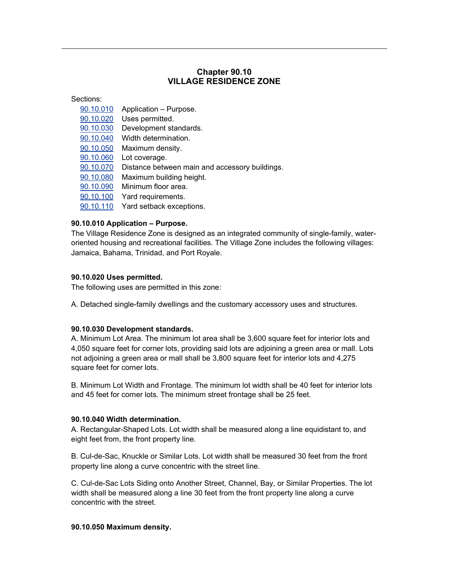### **90.10** *XILLAGE RESIDENCE ZONE*

**Chapter**

| Sections: |                                                |
|-----------|------------------------------------------------|
| 90.10.010 | Application - Purpose.                         |
| 90.10.020 | Uses permitted.                                |
| 90.10.030 | Development standards.                         |
| 90.10.040 | Width determination.                           |
| 90.10.050 | Maximum density.                               |
| 90.10.060 | Lot coverage.                                  |
| 90.10.070 | Distance between main and accessory buildings. |
| 90.10.080 | Maximum building height.                       |
| 90.10.090 | Minimum floor area.                            |
| 90.10.100 | Yard requirements.                             |
| 90.10.110 | Yard setback exceptions.                       |

### **90.10.010 Application - Purpose.**

Village Difference Cone<br>Village Residence Zone is designed as an integrated community of single-family, water-<br>The Village Residence Zone is designed as an integrated community of single-family, water-**0 Application – Purpose.**<br>ge Residence Zone is designed as an integrated community of single-family, water-<br>housing and recreational facilities. The Village Zone includes the following villages: The Villa oriented housing and recreational facilities. The Village Zone includes the following villages: Jamaica, Bahama, Trinidad, and Port Royale.

### **90.10.020 Uses permitted.**

**90.10.020 Uses permitted.**<br>The following uses are permitted in this zone:

A. Detached single-family dwellings and the customary accessory uses and structures.

## **Detaction of any of all the standards.**<br>190.10.030 Development standards.

**.10.030 Development standards.**<br>Minimum Lot Area. The minimum lot area shall be 3.600 square feet for interior lots and **030 Development standards.**<br>imum Lot Area. The minimum lot area shall be 3,600 square feet for interior lots and<br>square feet for corner lots, providing said lots are adioining a green area or mall. Lots A. Minimum Lot Area. The minimum lot area shall be 3,600 square feet for interior lots and<br>4,050 square feet for corner lots, providing said lots are adjoining a green area or mall. Lots<br>not adioining a green area or mall 4,050 square feet for corner lots, providing said lots are adjoining a green area or mall. Lots not adjoining a green area or mall shall be 3,800 square feet for interior lots and 4,275 square feet for corner lots. and

B. Minimum Lot Width and Frontage. The minimum lot width shall be 40 feet for interior lots and 45 feet for corner lots. The minimum street frontage shall be 25 feet.

## and 40 feet for somer lots. The millimities<br>90.10.040 Width determination.

.<br>1**0.040 Width determination.**<br>Rectangular-Shaped Lots. Lot width shall be measured along a line equidistant to, and **90.10.040 Width determination.**<br>A. Rectangular-Shaped Lots. Lot width sha<br>eight feet from, the front property line. nt feet from, the front property line.<br>Cul-de-Sac, Knuckle or Similar Lots. Lot width shall be measured 30 feet from the front property

Line along a curve concentric concentrictum B. Cul-de-Sac, Knuckle or Similar Lots. Lot width shall be mear<br>19 property line along a curve concentric with the street line. perty line along a curve concentric with the street line.<br>Cul-de-Sac Lots Siding onto Another Street, Channel, Bay, or Similar Properties. The lot width i

shall be measured along onto Another Street, Channel, Bay, or Similar Properties. The lot<br>Interval be measured along a line 30 feet from the front property line along a curve c. Cul-de-Sac Lots Siding onto<br>width shall be measured along<br>concentric with the street. concentric with the street.<br>**90.10.050 Maximum density.**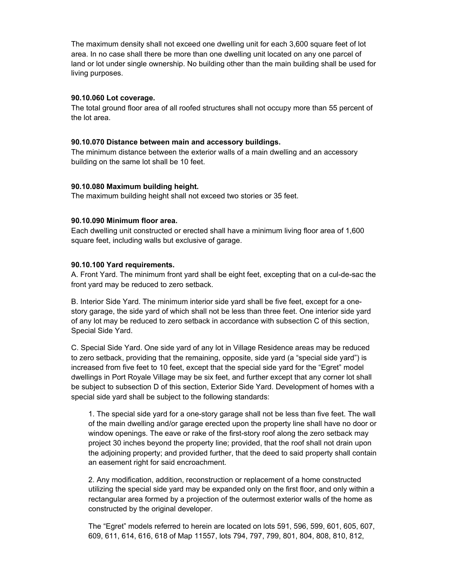maximum density shall not exceed one dwelling unit for each 3,600 square feet of lot In the maximum density shall not exceed one dwelling unit for each 3,600 square feet of lot<br>In no case shall there be more than one dwelling unit located on any one parcel of The maximum density shall not exceed one dwelling unit for each 3,600 square feet of lot<br>In no case shall there be more than one dwelling unit located on any one parcel of<br>or lot under single ownership. No building other than area. In no case shall there be more than one dwelling unit located on any one parcel of area. In no case sha<br>land or lot under sing<br>living purposes.

## nving parposes.<br>90.10.060 Lot coverage.

otal dia ground floot detain and the body.<br>total ground floor area of all roofed structures shall not occupy more than 55 percent of **90.10.060 Lot c**<br>The total ground<br>the lot area.

**Distance between main and accessory buildings.**<br>**The minimum distance between the exterior walls of a main dwelling building on the same lot shall be 10 feet.** The minimum distance between the exterior walls of a main dwelling and an accessory **building on the same lot shall be 10 feet.**<br>**90.10.080 Maximum building height.** 

The maximum building height shall not exceed two stories or 35 feet.

## **90.10.090 Minimum floor area.**

**.090 Minimum floor area.**<br>dwelling unit constructed or erected shall have a minimum living floor area of 1,600 **90.10.090 Minimum floor area.**<br>Each dwelling unit constructed or erected shall have a m<br>square feet, including walls but exclusive of garage.

### **Yard requirements.** A.front

**.10.100 Yard requirements.**<br>Front Yard. The minimum front vard shall be eight feet, excepting that on a cul-de-sac the **90.10.100 Yard requirements.**<br>A. Front Yard. The minimum front yard shall be<br>front vard mav be reduced to zero setback. Interior Side Yard. The minimum interior side vard shall be five feet, except for a one-<br>Interior Side Yard. The minimum interior side vard shall be five feet, except for a one-

,<br>erior Side Yard. The minimum interior side yard shall be five feet, except for a one-<br>garage, the side vard of which shall not be less than three feet. One interior side vard B. B. Interior Side Yard. The minimum interior side yard shall be five feet, except for a one-<br>story garage, the side yard of which shall not be less than three feet. One interior side yard<br>of any lot may be reduced to zero s story garage, the side y<br>of any lot may be reduc<br>Special Side Yard. ecial Side Yard.<br>Special Side Yard. One side vard of anv lot in Village Residence areas mav be reduced to

Special Side Yard. One side yard of any lot in Village Residence areas may be reduced<br>zero setback, providing that the remaining, opposite, side yard (a "special side yard") is C. Special Side Yard. One side yard of any lot in Village Residence areas may be reduced<br>to zero setback, providing that the remaining, opposite, side yard (a "special side yard") is<br>increased from five feet to 10 feet, ex to zero setback, providing that the remaining, opposite, side yard (a "special side yard") is tback, providing that the remaining, opposite, side yard (a "special side yard") is<br>from five feet to 10 feet, except that the special side yard for the "Egret" model<br>in Port Rovale Village may be six feet, and further exc increased from five feet to 10 feet, except that the special side yard for the "Egret" model<br>dwellings in Port Royale Village may be six feet, and further except that any corner lot shall<br>be subiect to subsection D of this dwellings in Port Royale Village may be six feet, and further except that any corner lot shall be subject to subsection D of this section, Exterior Side Yard. Development of homes with a special side yard shall be subject to the following standards: side yard shall be subject to the following standards:<br>The special side vard for a one-story garage shall not be less than five feet. The wall

The special side yard for a one-story garage shall not be less than five feet. The wall<br>the main dwelling and/or garage erected upon the property line shall have no door or 1. The  $s$ pecial side yard for a one-story garage shall not be less than five feet. The wall<br>ain dwelling and/or garage erected upon the property line shall have no door or<br>openings. The eave or rake of the first-story roof along th of the main dwelling and/or garage erected upon the property line shall have no door or<br>window openings. The eave or rake of the first-story roof along the zero setback may<br>project 30 inches beyond the property line: provi window openings. The eave or rake of the first-story roof along the zero setback may dow openings. The eave or rake of the first-story roof along the zero setback may<br>ect 30 inches beyond the property line; provided, that the roof shall not drain upon<br>adioining property: and provided further, that the deed project 30 inches beyond the property line; pro<br>the adjoining property; and provided further, th<br>an easement right for said encroachment. easement right for said encroachment.<br>Any modification, addition, reconstruction or replacement of a home constructed

the special side in the special side in the special side in<br>the special side vard may be expanded only on the first floor, and only within a 2. Any modification, addition, reconstruction or replacement of a home constructed<br>utilizing the special side yard may be expanded only on the first floor, and only within a<br>rectangular area formed by a projection of the o utilizing the special side yard may be expa<br>rectangular area formed by a projection of<br>constructed by the original developer. constructed by the original developer.<br>The "Egret" models referred to herein are located on lots 591, 596, 599, 601, 605, 607,

بر<br>Egret" models referred to herein are located on lots 591, 596, 599, 601, 605, 6<br>611, 614, 616, 618 of Map 11557, lots 794, 797, 799, 801, 804, 808, 810, 812,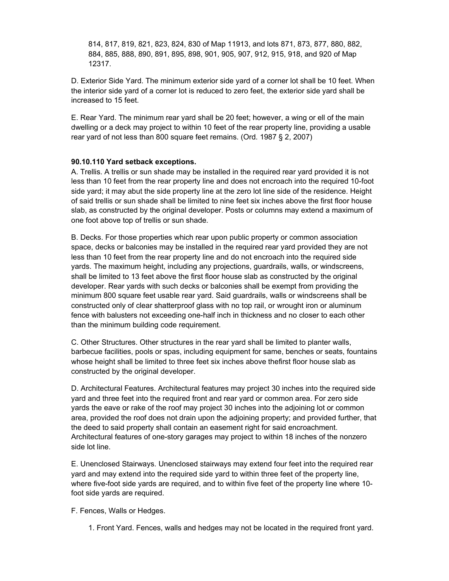814, 817, 819, 821, 823, 824, 830 of Map 11913, and lots 871, 873, 877, 880, 882, 817, 819, 821, 823, 824, 830 of Map 11913, and lots 871, 873, 877, 880, 882,<br>885, 888, 890, 891, 895, 898, 901, 905, 907, 912, 915, 918, and 920 of Map  $814, 87$ 12317. Exterior Side Yard. The minimum exterior side yard of <sup>a</sup> corner lot shall be <sup>10</sup> feet. When

Exterior Side Yard. The minimum exterior side yard of a corner lot shall be 10 feet. When<br>interior side vard of a corner lot is reduced to zero feet, the exterior side vard shall be D. Exterior Side Yard. Th<br>the interior side yard of a<br>increased to 15 feet. reased to 15 feet.<br>Rear Yard. The minimum rear vard shall be 20 feet: however, a wing or ell of the main

Yard. The minimum rear yard shall be 20 feet; however, a wing or ell of the main<br>or a deck may proiect to within 10 feet of the rear property line, providing a usable E. Rear Yard. The minimum rear yard shall be 20 feet; however, a wing or ell c<br>dwelling or a deck may project to within 10 feet of the rear property line, provid<br>rear vard of not less than 800 square feet remains. (Ord. 19 rear yard of not less than 800 square feet remains. (Ord.  $1987 \t{S}$  2, 2007)

## **Yard setback exceptions.** A.less

.<br>10.110 Yard setback exceptions.<br>Trellis. A trellis or sun shade may be installed in the required rear yard provided it is not **0.110 Yard setback exceptions.**<br>tellis. A trellis or sun shade may be installed in the required rear yard provided it is not<br>than 10 feet from the rear property line and does not encroach into the required 10-foot A. T ellis. A trellis or sun shade may be installed in the required rear yard provided it is not<br>than 10 feet from the rear property line and does not encroach into the required 10-foot<br>vard: it may abut the side property line less than 10 feet from the rear property line and does not encroach into the required 10-foot<br>side yard; it may abut the side property line at the zero lot line side of the residence. Height<br>of said trellis or sun shade sh side yard; it may abut the side property line at the zero lot line side of the residence. Height vard; it may abut the side property line at the zero lot line side of the residence. Height<br>d trellis or sun shade shall be limited to nine feet six inches above the first floor house<br>as constructed by the original develop of said trellis or sun shade shall be limited to n<br>slab, as constructed by the original developer.<br>one foot above top of trellis or sun shade. e foot above top of trellis or sun shade.<br>Decks. For those properties which rear upon public property or common association

ks. For those properties which rear upon public property or common association<br>decks or balconies may be installed in the required rear vard provided they are not B. Decks. For those properties which rear upon public property or common association<br>space, decks or balconies may be installed in the required rear yard provided they are not<br>less than 10 feet from the rear property line space, decks or balconies may be installed in the required rear yard provided they are not<br>less than 10 feet from the rear property line and do not encroach into the required side<br>vards. The maximum height, including any p han 10 feet from the rear property line and do not encroach into the required side<br>i. The maximum height, including any projections, guardrails, walls, or windscreens,<br>be limited to 13 feet above the first floor house slab yards. The maximum height, including any projections, guardrails, walls, or windscreens,<br>shall be limited to 13 feet above the first floor house slab as constructed by the original<br>developer. Rear vards with such decks or shall be limited to 13 feet above the first floor house slab as constructed by the original mited to 13 feet above the first floor house slab as constructed by the original<br>. Rear yards with such decks or balconies shall be exempt from providing the<br>800 square feet usable rear vard. Said quardrails, walls or wind developer. Rear yards with such decks or balconies shall be exempt from providing the<br>minimum 800 square feet usable rear yard. Said guardrails, walls or windscreens shall be<br>constructed only of clear shatterproof glass wi minimum 800 square feet usable rear yard. Said guardrails, walls or windscreens shall be<br>constructed only of clear shatterproof glass with no top rail, or wrought iron or aluminum<br>fence with balusters not exceeding one-hal constructed only of clear shatterproof glass with no top rail, or wrought iron or aluminum fence with balusters not exceeding one-half inch in thickness and no closer to each other than the minimum building code requirement. than the minimum building code requirement.<br>C. Other Structures. Other structures in the rear vard shall be limited to planter walls.

factures. Other structures in the rear yard shall be limited to planter walls,<br>facilities, pools or spas, including equipment for same, benches or seats, fountains C. Oth er Structures. Other structures in the rear yard shall be limited to planter walls,<br>ue facilities, pools or spas, including equipment for same, benches or seats, fountains<br>height shall be limited to three feet six inches a barbecue facilities, pools or spas, including<br>whose height shall be limited to three feet<br>constructed by the original developer. nstructed by the original developer.<br>Architectural Features. Architectural features may project 30 inches into the required side

chitectural Features. Architectural features may project 30 inches into the required side<br>and three feet into the required front and rear vard or common area. For zero side D. Ard hitectural Features. Architectural features may project 30 inches into the required side<br>nd three feet into the required front and rear yard or common area. For zero side<br>the eave or rake of the roof may project 30 inches vard and three feet into the required front and rear yard or common area. For zero side<br>the eave or rake of the roof may project 30 inches into the adjoining lot or common<br>provided the roof does not drain upon the adjoining pro yards the eave or rake of the roof may project 30 inches into the adjoining lot or comn<br>area, provided the roof does not drain upon the adjoining property; and provided furth<br>the deed to said property shall contain an ease area, provided the roof does not drain upon the adjoining property; and provided further, that<br>the deed to said property shall contain an easement right for said encroachment.<br>Architectural features of one-story garages ma the deed to said<br>Architectural fea<br>side lot line. e lot line.<br>Unenclosed Stairways. Unenclosed stairways may extend four feet into the required rear

E. Unenclosed Stairways. Unenclosed stairways may extend four feet into the required rear<br>vard and may extend into the required side vard to within three feet of the property line. nclosed Stairways. Unenclosed stairways may extend four feet into the required rear<br>nd may extend into the required side yard to within three feet of the property line,<br>five-foot side vards are required, and to within five yard and may extend into the required side yard to within three feet of the property line, where five-foot side yards are required, and to within five feet of the property line where 10foot side yards are required.<br>F. Fences, Walls or Hedges.

Front Yard. Fences, walls and hedges may not be located in the required front yard.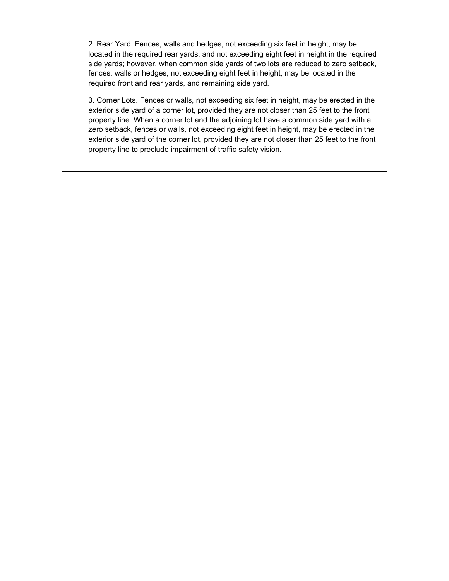Rear Yard. Fences, walls and hedges, not exceeding six feet in height, may be Yard. Fences, walls and hedges, not exceeding six feet in height, may be<br>in the required rear vards, and not exceeding eight feet in height in the required 2. R ear Yard. Fences, walls and hedges, not exceeding six feet in height, may be<br>ed in the required rear yards, and not exceeding eight feet in height in the required<br>vards: however, when common side vards of two lots are redu located in the required rear yards, and not exceeding eight feet in height in the required<br>ds; however, when common side yards of two lots are reduced to zero setback,<br>walls or hedges, not exceeding eight feet in height, may be lo side yar fences, walls or hedges, not exceeding eight feet in height, may be located in the required front and rear yards, and remaining side yard. quired front and rear yards, and remaining side yard.<br>Corner Lots. Fences or walls, not exceeding six feet in height, may be erected in the exterior

of Lots. Fences or walls, not exceeding six feet in height, may be erected in the<br>side vard of a corner lot, provided they are not closer than 25 feet to the front 3. Corne r Lots. Fences or walls, not exceeding six feet in height, may be erected in the<br>side yard of a corner lot, provided they are not closer than 25 feet to the front<br>line. When a corner lot and the adioining lot have a common exte ior side yard of a corner lot, provided they are not closer than 25 feet to the front<br>erty line. When a corner lot and the adjoining lot have a common side yard with a<br>setback, fences or walls, not exceeding eight feet in property I line. When a corner lot and the adjoining lot have a common side yard with a<br>back, fences or walls, not exceeding eight feet in height, may be erected in the<br>side vard of the corner lot, provided they are not closer than zero setl exterior side yard of the corner lot, provided they are not closer than 25 feet to the front property line to preclude impairment of traffic safety vision.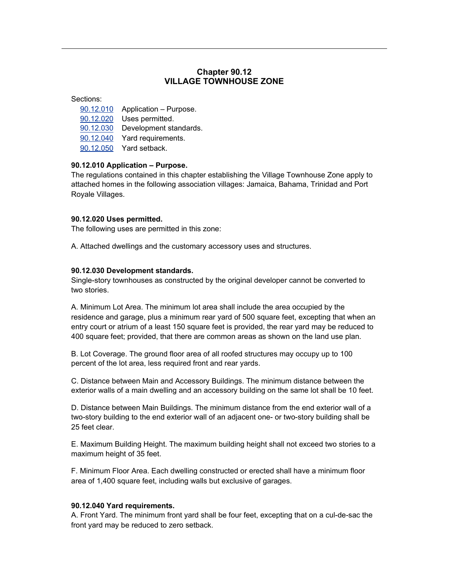### **90.12 TOWNHOUSE ZONE**

**Chapter**

- ctions:<br>90.12.010 Application Purpose. ctions:<br><u>90.12.010</u> Application – Purpos<br>90.12.020 Uses permitted. 90.12.010 Application – Purpose.<br><u>90.12.020</u> Uses permitted.<br>90.12.030 Development standards.
- 
- 90.12.020 Uses permitted.<br>90.12.030 Development standards<br>90.12.040 Yard requirements.
- 90.12.030 Development stan<br><u>90.12.040</u> Yard requirements<br>90.12.050 Yard setback.
	-

## **<u>90.12.050</u>** Yard setback.<br>**90.12.010 Application – Purpose.**

 regulations contained in this chapter establishing the Village Townhouse Zone apply to **) Application – Purpose.**<br>lations contained in this chapter establishing the Village Townhouse Zone apply to<br>homes in the following association villages: Jamaica, Bahama, Trinidad and Port The regulations conta<br>attached homes in th<br>Royale Villages.

# Royale Villages.<br>**90.12.020 Uses permitted.**

**90.12.020 Uses permitted.**<br>The following uses are permitted in this zone:

A. Attached dwellings and the customary accessory uses and structures.

**Preference awarrange and the easternary<br><b>90.12.030 Development standards.**<br>Single-story townhouses as constructed b<br>two stories. Single-story townhouses as constructed by the original developer cannot be converted to two stories.<br>A. Minimum Lot Area. The minimum lot area shall include the area occupied by the

A. Minimum Lot Area. The minimum lot area shall include the area occupied by the<br>residence and garage, plus a minimum rear yard of 500 square feet, excepting that when an nimum Lot Area. The minimum lot area shall include the area occupied by the<br>ence and garage, plus a minimum rear yard of 500 square feet, excepting that when an<br>court or atrium of a least 150 square feet is provided, the r residence and garage, plus a minimum rear yard of 500 square feet, excepting that when an<br>entry court or atrium of a least 150 square feet is provided, the rear yard may be reduced to<br>400 square feet: provided, that there 400 square feet; provided, that there are common areas as shown on the land use plan. percent

B. Lot Coverage. The ground floor area of all roofed structures may occupy up to 100 percent of the lot area, less required front and rear yards. exterior

 Distance between Main and Accessory Buildings. The minimum distance between the .<br>C. Distance between Main and Accessory Buildings. The minimum distance between the<br>exterior walls of a main dwelling and an accessory building on the same lot shall be 10 feet. erior walls of a main dwelling and an accessory building on the same lot shall be 10 feet.<br>Distance between Main Buildings. The minimum distance from the end exterior wall of a

building to the end exterior wall of a<br>building to the end exterior wall of an adiacent one- or two-story building shall be D. two-story building to the end exterior wall of an adjacent one- or two-story building shall be 25 feet clear. feet clear.<br>Maximum Building Height. The maximum building height shall not exceed two stories to a

E. Maximum Building Height. Th<br>maximum height of 35 feet. iximum height of 35 feet.<br>Minimum Floor Area. Each dwelling constructed or erected shall have a minimum floor

F. Minimum Floor Area. Each dwelling constructed or erected shall have<br>area of 1,400 square feet, including walls but exclusive of garages.

### area on 1,400 square reet, moldaing<br>**90.12.040 Yard requirements.**

**.12.040 Yard requirements.**<br>Front Yard. The minimum front vard shall be four feet, excepting that on a cul-de-sac the **2.040 Yard requirements.**<br>ont Yard. The minimum front yard shal<br>vard mav be reduced to zero setback.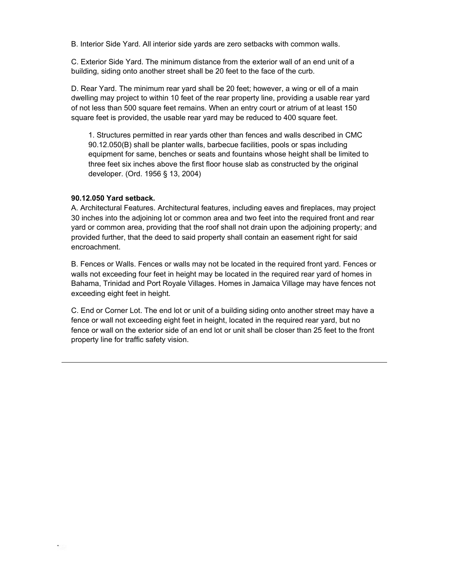nderior Side Yard. All interior side vards are zero setbacks with common walls.<br>C. Interior Side Yard. All interior side vards are zero setbacks with common walls. Interior Side Yard. All interior side yards are zero setbacks with common walls.<br>Exterior Side Yard. The minimum distance from the exterior wall of an end unit of a

C. Exterior Side Yard. The minimum distance from the exterior wall of an end unit of a building, siding onto another street shall be 20 feet to the face of the curb. lding, siding onto another street shall be 20 feet to the face of the curb.<br>Rear Yard. The minimum rear vard shall be 20 feet: however, a wing or ell of a main dwelling

Yard. The minimum rear yard shall be 20 feet; however, a wing or ell of a main<br>mav project to within 10 feet of the rear property line, providing a usable rear vard D. Rear Yard. The minimum rear yard shall be 20 feet; however, a wing or ell of a main<br>dwelling may project to within 10 feet of the rear property line, providing a usable rear yard<br>of not less than 500 square feet remains dwelling may project to within 10 feet of the rear property line, providing a usable rear yard of not less than 500 square feet remains. When an entry court or atrium of at least 150 square feet is provided, the usable rear yard may be reduced to 400 square feet. feet is provided, the usable rear yard may be reduced to 400 square feet.<br>Structures permitted in rear vards other than fences and walls described in CMC 90.12.050(B)

permitted in rear yards other than fences and walls described in CMC<br>shall be planter walls, barbecue facilities, pools or spas including 1. Structur is permitted in rear yards other than fences and walls described in CMC<br>5) shall be planter walls, barbecue facilities, pools or spas including<br>for same, benches or seats and fountains whose height shall be limited to 90.12  $f(0.050(B))$  shall be planter walls, barbecue facilities, pools or spas including<br>ment for same, benches or seats and fountains whose height shall be limited to<br>feet six inches above the first floor house slab as construct equipment for same, benches or seats a<br>three feet six inches above the first floor<br>developer. (Ord. 1956 § 13, 2004) developer. (Ord. 1956 § 13, 2004)

## **Yard setback.** A.30

.<br>12.050 Yard setback.<br>Architectural Features. Architectural features, including eaves and fireplaces, may project **12.050 Yard setback.**<br>Architectural Features. Architectural features, including eaves and fireplaces, may project<br>inches into the adioining lot or common area and two feet into the required front and rear A. A chitectural Features. Architectural features, including eaves and fireplaces, may project<br>ches into the adjoining lot or common area and two feet into the required front and rear<br>or common area, providing that the roof sha 30 inches into the adjoining lot or common area and two feet into the required front and rear<br>yard or common area, providing that the roof shall not drain upon the adjoining property; and<br>provided further, that the deed to yard or common area, providing that the roof shall not drain upon the adjoining property; and provided further, that the deed to said property shall contain an easement right for said encroachment. roachment.<br>Fences or Walls. Fences or walls may not be located in the required front yard. Fences or

nces or Walls. Fences or walls may not be located in the required front yard. Fences or<br>not exceeding four feet in height may be located in the required rear yard of homes in **B.** Fence s or Walls. Fences or walls may not be located in the required front yard. Fences or<br>exceeding four feet in height may be located in the required rear yard of homes in<br>Trinidad and Port Rovale Villages. Homes in Jamaica Vi walls not exceeding four feet in hei<br>Bahama, Trinidad and Port Royale<br>exceeding eight feet in height. eeding eight feet in height.<br>End or Corner Lot. The end lot or unit of a building siding onto another street may have a

or wall or Corner Lot. The end lot or unit of a building siding onto another street may have a<br>or wall not exceeding eight feet in height. located in the required rear yard, but no C. End or Corner Lot. The end lot or unit of a building siding onto another street may have a<br>fence or wall not exceeding eight feet in height, located in the required rear yard, but no<br>fence or wall on the exterior side o fence or wall not exceeding eight feet in<br>fence or wall on the exterior side of an e<br>property line for traffic safety vision.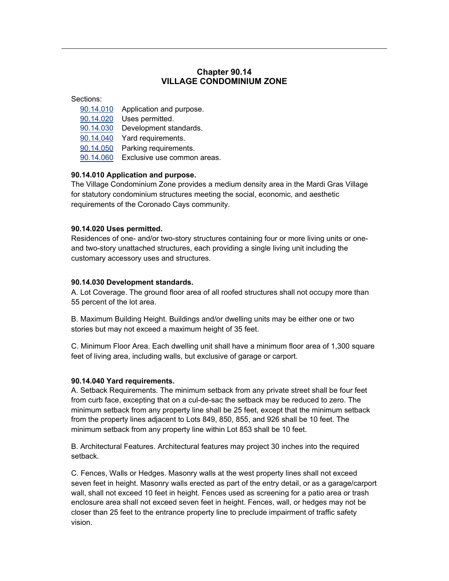### **90.14 CONDOMINIUM ZONE**

**Chapter**

- ctions:<br>90.14.010 Application and purpose. ctions:<br><u>90.14.010</u> Application and purp<br>90.14.020 Uses permitted. 90.14.010 Application and purpose.<br><u>90.14.020</u> Uses permitted.<br>90.14.030 Development standards.
- 
- 90.14.020 Uses permitted.<br>90.14.030 Development standards<br>90.14.040 Yard requirements. <u>90.14.030</u> Development standards.<br><u>90.14.040</u> Yard requirements.<br>90.14.050 Parking requirements.
- 
- 90.14.040 Yard requirements.<br><u>90.14.050</u> Parking requirements.<br>90.14.060 Exclusive use common areas.
- **<u>90.14.060</u>** Exclusive use common are<br>**90.14.010 Application and purpose.**

### 90.14.010 Application and purpose.

————<br>**4.010 Application and purpose.**<br>Village Condominium Zone provides a medium density area in the Mardi Gras Village **14.010 Application and purpose.**<br>؛ Village Condominium Zone provides a medium density area in the Mardi Gras Village<br>statutory condominium structures meeting the social, economic, and aesthetic The Village C for statutory condominium structures meeting the social, economic, and aesthetic requirements of the Coronado Cays community.

### **90.14.020 Uses permitted.**

**90.14.020 Uses permitted.**<br>Residences of one- and/or two-story structures containing four or more living units or one-**4.020 Uses permitted.**<br>dences of one- and/or two-story structures containing four or more living units or one-<br>two-story unattached structures, each providing a single living unit including the Residence and two-story unattached structures, each providing a single living unit including the customary accessory uses and structures.

## **Development standards.** A.55

.**14.030 Development standards.**<br>Lot Coverage. The ground floor area of all roofed structures shall not occupy more than **90.14.030 Development stan**<br>A. Lot Coverage. The ground f<br>55 percent of the lot area. percent of the lot area.<br>Maximum Building Height. Buildings and/or dwelling units may be either one or two stories

.<br>B. Maximum Building Height. Buildings and/or dwelling units r<br>stories but mav not exceed a maximum height of 35 feet. ries but may not exceed a maximum height of 35 feet.<br>Minimum Floor Area. Each dwelling unit shall have a minimum floor area of 1.300 square

c. Minimum Floor Area. Each dwelling unit shall have a minimum floor are<br>feet of living area, including walls, but exclusive of garage or carport.

## rect of ining area, moldang walle, bi<br>**90.14.040 Yard requirements.**

.<br>14.040 Yard requirements.<br>Setback Requirements. The minimum setback from any private street shall be four feet **l.040 Yard requirements.**<br>:tback Requirements. The minimum setback from any private street shall be four feet<br>curb face, excepting that on a cul-de-sac the setback may be reduced to zero. The A. Setback Requirements. The minimum setback from any private street shall be four feet<br>from curb face, excepting that on a cul-de-sac the setback may be reduced to zero. The<br>minimum setback from any property line shall be from curb face, excepting that on a cul-de-sac the setback may be reduced to zero. The curb face, excepting that on a cul-de-sac the setback may be reduced to zero. The<br>num setback from any property line shall be 25 feet, except that the minimum setback<br>the property lines adjacent to Lots 849, 850, 855, and minimumfrom the property lines adjacent to Lots 849, 850, 855, and 926 shall be 10 feet. The minimum setback from any property line within Lot 853 shall be 10 feet.

B. Architectural Features. Architectural features may project 30 inches into the required setback. Fences, Walls or Hedges. Masonry walls at the west property lines shall not exceed

ces, Walls or Hedges. Masonry walls at the west property lines shall not exceed<br>feet in height. Masonry walls erected as part of the entry detail, or as a garage/carport  $C. F($ ences, Walls or Hedges. Masonry walls at the west property lines shall not exceed<br>n feet in height. Masonry walls erected as part of the entry detail, or as a garage/carport<br>shall not exceed 10 feet in height. Fences used seven feet in height. Masonry walls erected as part of the entry detail, or as a garage/carport<br>wall, shall not exceed 10 feet in height. Fences used as screening for a patio area or trash<br>enclosure area shall not exceed s wall, shall not exceed 10 feet in height. Fences used as screening for a patio area or trash hall not exceed 10 feet in height. Fences used as screening for a patio area or trash<br>ure area shall not exceed seven feet in height. Fences, wall, or hedges may not be<br>than 25 feet to the entrance property line to preclud enclos vision.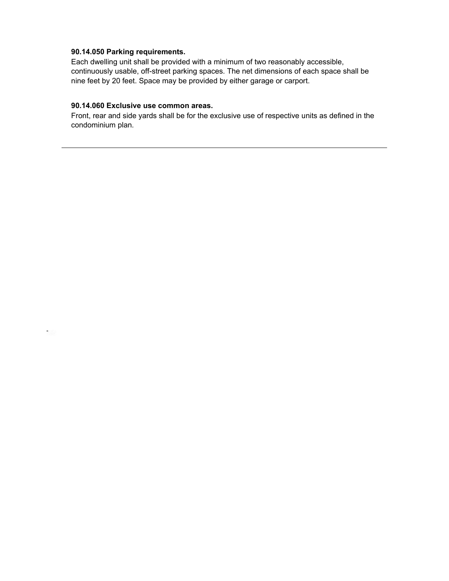### **90.14.050 Parking requirements.**

 $\mathcal{L}(\mathbb{R})$ 

**90.14.050 Parking requirements.**<br>Each dwelling unit shall be provided with a minimum of two reasonably accessible, **rking requirements.**<br>g unit shall be provided with a minimum of two reasonably accessible,<br>usable, off-street parking spaces. The net dimensions of each space shall be Eacl continuously usable, off-street parking spaces. The net dimensions of each space shall be nine feet by 20 feet. Space may be provided by either garage or carport.

## mile feet by 20 feet. Opdee may be provided by<br>**90.14.060 Exclusive use common areas.**

os Exclusive use common areas.<br>The present wards shall be for the exclusive use of respective units as defined in the **:Iusive use c**<br>d side yards s<br>plan.